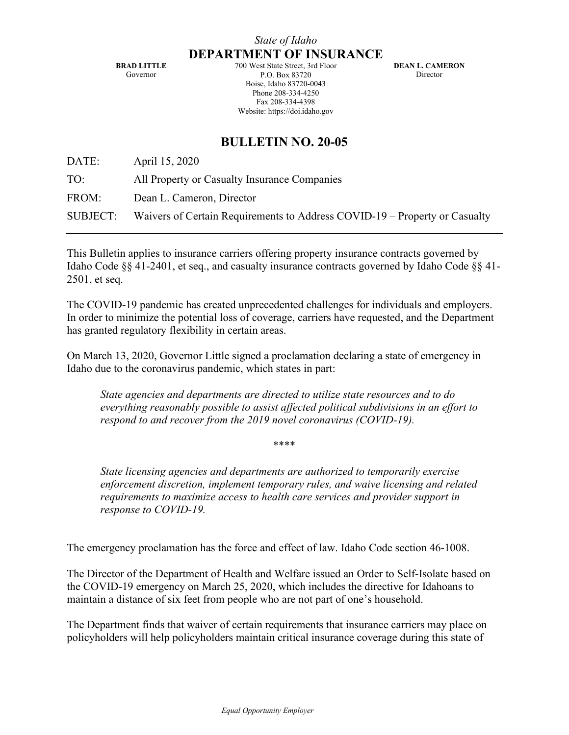**BRAD LITTLE** Governor

700 West State Street, 3rd Floor P.O. Box 83720 Boise, Idaho 83720-0043 Phone 208-334-4250 Fax 208-334-4398 Website: https://doi.idaho.gov

**DEAN L. CAMERON** Director

## **BULLETIN NO. 20-05**

DATE: April 15, 2020

TO: All Property or Casualty Insurance Companies

FROM: Dean L. Cameron, Director

SUBJECT: Waivers of Certain Requirements to Address COVID-19 – Property or Casualty

This Bulletin applies to insurance carriers offering property insurance contracts governed by Idaho Code §§ 41-2401, et seq., and casualty insurance contracts governed by Idaho Code §§ 41- 2501, et seq.

The COVID-19 pandemic has created unprecedented challenges for individuals and employers. In order to minimize the potential loss of coverage, carriers have requested, and the Department has granted regulatory flexibility in certain areas.

On March 13, 2020, Governor Little signed a proclamation declaring a state of emergency in Idaho due to the coronavirus pandemic, which states in part:

*State agencies and departments are directed to utilize state resources and to do everything reasonably possible to assist affected political subdivisions in an effort to respond to and recover from the 2019 novel coronavirus (COVID-19).* 

\*\*\*\*

*State licensing agencies and departments are authorized to temporarily exercise enforcement discretion, implement temporary rules, and waive licensing and related requirements to maximize access to health care services and provider support in response to COVID-19.* 

The emergency proclamation has the force and effect of law. Idaho Code section 46-1008.

The Director of the Department of Health and Welfare issued an Order to Self-Isolate based on the COVID-19 emergency on March 25, 2020, which includes the directive for Idahoans to maintain a distance of six feet from people who are not part of one's household.

The Department finds that waiver of certain requirements that insurance carriers may place on policyholders will help policyholders maintain critical insurance coverage during this state of